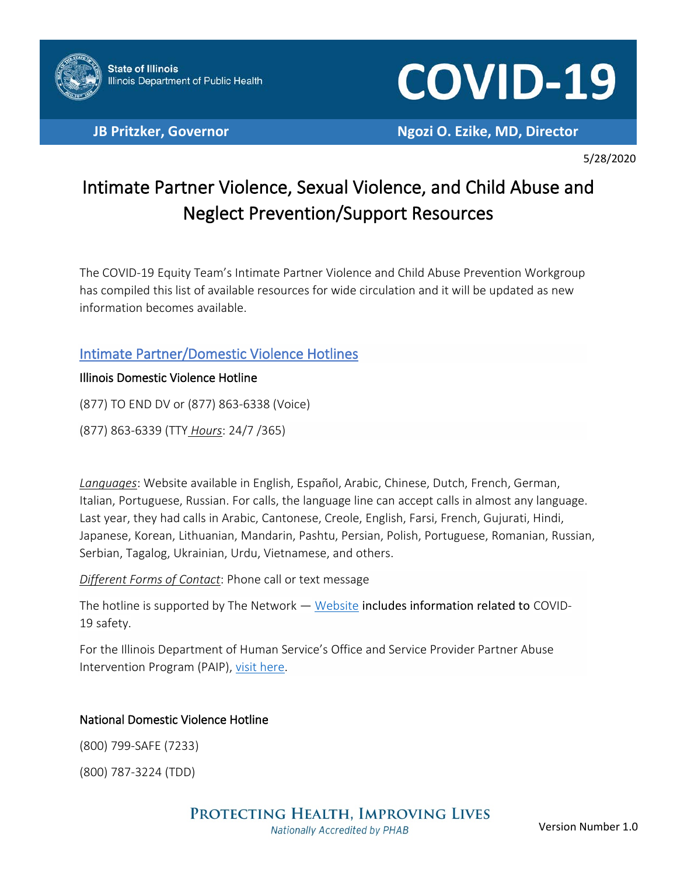

# **COVID-19**

**JB Pritzker, Governor Ngozi O. Ezike, MD, Director**

5/28/2020

# Intimate Partner Violence, Sexual Violence, and Child Abuse and Neglect Prevention/Support Resources

The COVID-19 Equity Team's Intimate Partner Violence and Child Abuse Prevention Workgroup has compiled this list of available resources for wide circulation and it will be updated as new information becomes available.

## Intimate Partner/Domestic Violence Hotlines

#### Illinois Domestic Violence Hotline

(877) TO END DV or (877) 863-6338 (Voice)

(877) 863-6339 (TTY *Hours*: 24/7 /365)

*Languages*: Website available in English, Español, Arabic, Chinese, Dutch, French, German, Italian, Portuguese, Russian. For calls, the language line can accept calls in almost any language. Last year, they had calls in Arabic, Cantonese, Creole, English, Farsi, French, Gujurati, Hindi, Japanese, Korean, Lithuanian, Mandarin, Pashtu, Persian, Polish, Portuguese, Romanian, Russian, Serbian, Tagalog, Ukrainian, Urdu, Vietnamese, and others.

*Different Forms of Contact*: Phone call or text message

The hotline is supported by The Network - [Website](https://the-network.org/knowledge-center/#availableResources) includes information related to COVID-19 safety.

For the Illinois Department of Human Service's Office and Service Provider Partner Abuse Intervention Program (PAIP), [visit here.](http://www.dhs.state.il.us/page.aspx?item=30276)

#### National Domestic Violence Hotline

(800) 799-SAFE (7233)

(800) 787-3224 (TDD)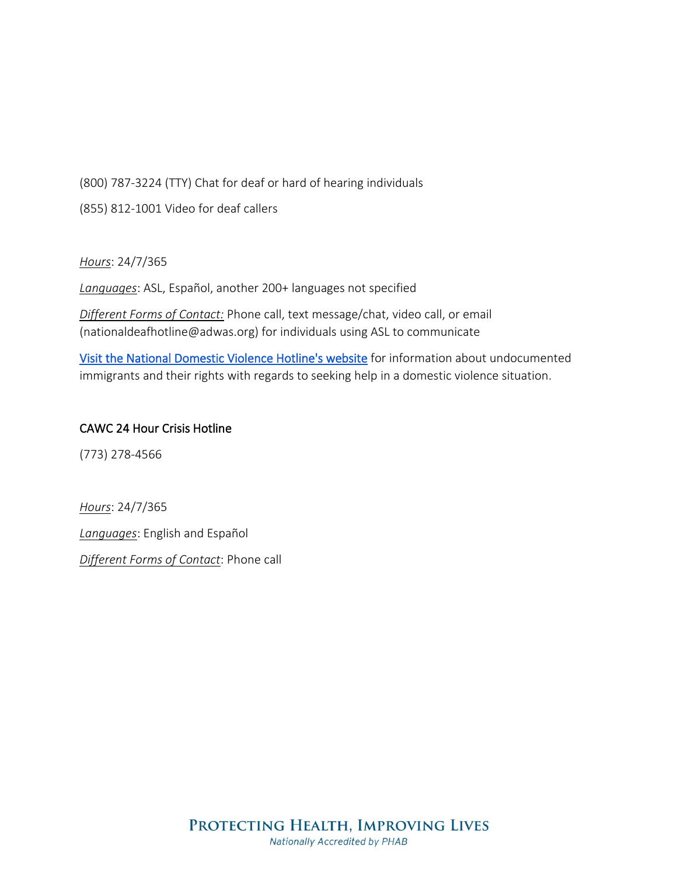(800) 787-3224 (TTY) Chat for deaf or hard of hearing individuals

(855) 812-1001 Video for deaf callers

*Hours*: 24/7/365

*Languages*: ASL, Español, another 200+ languages not specified

*Different Forms of Contact:* Phone call, text message/chat, video call, or email (nationaldeafhotline@adwas.org) for individuals using ASL to communicate

[Visit the National Domestic Violence Hotline's website](https://www.thehotline.org/2018/05/09/help-undocumented-experiencing-intimate-partner-violence-rights-reaching-support/) for information about undocumented immigrants and their rights with regards to seeking help in a domestic violence situation.

#### CAWC 24 Hour Crisis Hotline

(773) 278-4566

*Hours*: 24/7/365

*Languages*: English and Español

*Different Forms of Contact*: Phone call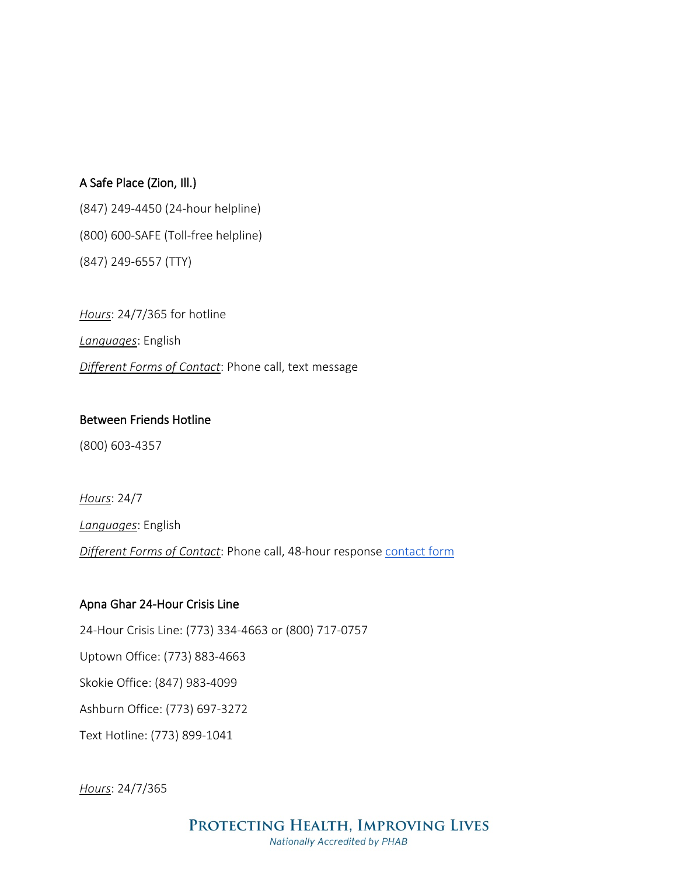#### A Safe Place (Zion, Ill.)

(847) 249-4450 (24-hour helpline) (800) 600-SAFE (Toll-free helpline) (847) 249-6557 (TTY)

*Hours*: 24/7/365 for hotline *Languages*: English *Different Forms of Contact*: Phone call, text message

#### Between Friends Hotline

(800) 603-4357

*Hours*: 24/7

*Languages*: English

**Different Forms of Contact:** Phone call, 48-hour response contact form

#### Apna Ghar 24-Hour Crisis Line

24-Hour Crisis Line: (773) 334-4663 or (800) 717-0757 Uptown Office: (773) 883-4663 Skokie Office: (847) 983-4099 Ashburn Office: (773) 697-3272 Text Hotline: (773) 899-1041

*Hours*: 24/7/365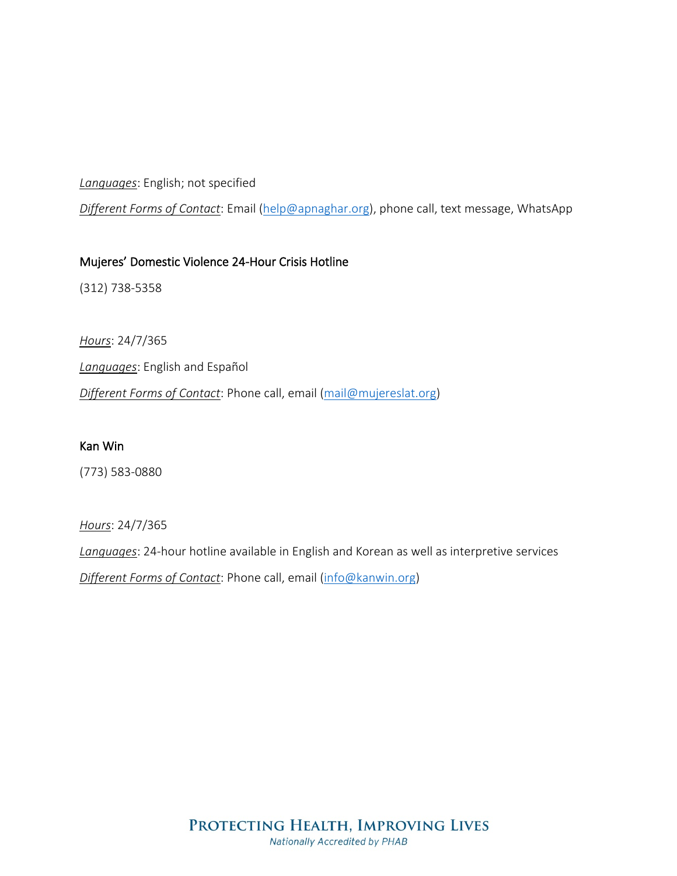*Languages*: English; not specified

*Different Forms of Contact*: Email [\(help@apnaghar.org\)](mailto:help@apnaghar.org), phone call, text message, WhatsApp

#### Mujeres' Domestic Violence 24-Hour Crisis Hotline

(312) 738-5358

*Hours*: 24/7/365 *Languages*: English and Español *Different Forms of Contact*: Phone call, email [\(mail@mujereslat.org\)](mailto:mail@mujereslat.org)

#### Kan Win

(773) 583-0880

*Hours*: 24/7/365

*Languages*: 24-hour hotline available in English and Korean as well as interpretive services

*Different Forms of Contact*: Phone call, email [\(info@kanwin.org\)](mailto:info@kanwin.org)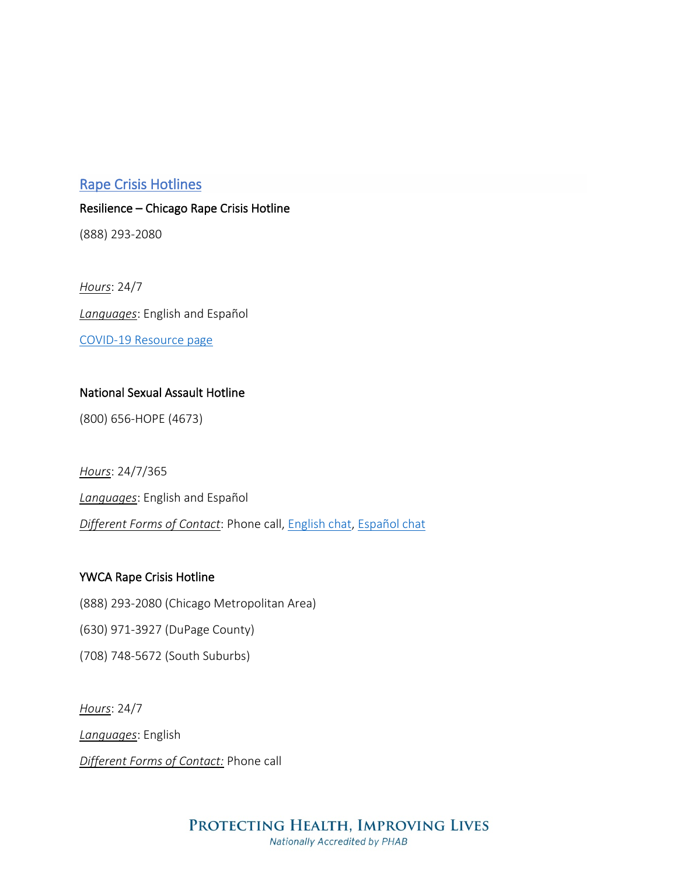#### Rape Crisis Hotlines

Resilience – Chicago Rape Crisis Hotline

(888) 293-2080

*Hours*: 24/7 *Languages*: English and Español [COVID-19 Resource page](https://www.ourresilience.org/what-you-need-to-know/covid-19-resource-page/)

#### National Sexual Assault Hotline

(800) 656-HOPE (4673)

*Hours*: 24/7/365 *Languages*: English and Español *Different Forms of Contact*: Phone call, [English chat,](https://hotline.rainn.org/online?_ga=2.130470284.2094210256.1589575076-1952594544.1589575076) [Español chat](https://hotline.rainn.org/es)

#### YWCA Rape Crisis Hotline

(888) 293-2080 (Chicago Metropolitan Area)

(630) 971-3927 (DuPage County)

(708) 748-5672 (South Suburbs)

*Hours*: 24/7 *Languages*: English *Different Forms of Contact:* Phone call